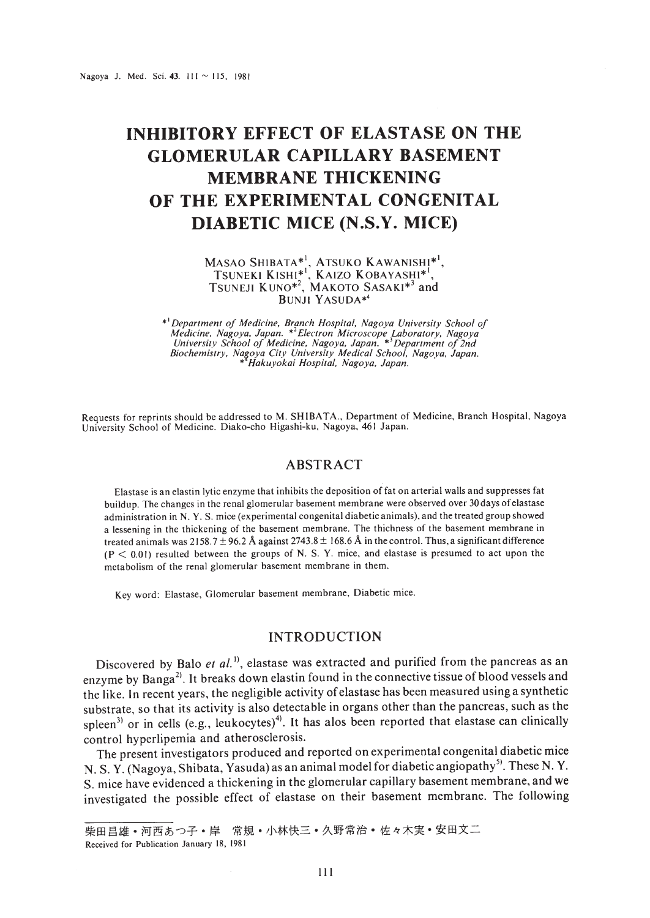# **INHIBITORY EFFECT OF ELASTASE ON THE GLOMERULAR CAPILLARY BASEMENT MEMBRANE THICKENING OF THE EXPERIMENTAL CONGENITAL DIABETIC MICE (N.S.Y. MICE)**

Masao Shibata\*', Atsuko Kawanishi\*', TSUNEKI KISHI\*I, KAIZO KOBAYASHI\*', TSUNEJI KUNO<sup>\*2</sup>, MAKOTO SASAKI<sup>\*3</sup> and BUNJI YASUDA\*'

\* Department of Medicine, Branch Hospital, Nagoya University School of Medicine, Nagoya, Japan. \*<sup>2</sup> Electron Microscope Laboratory, Nagoya<br>University School of Medicine, Nagoya, Japan. \*<sup>3</sup> Department of 2nd<br>Biochemistry, \* *Hakuyokai Hospital, Nagoya, Japan.*

Requests for reprints should be addressed to M. SH IBATA.. Department of Medicine. Branch Hospital. Nagoya University School of Medicine. Diako-cho Higashi-ku. Nagoya. 461 Japan.

#### ABSTRACT

Elastase is an elastin lytic enzyme that inhibits the deposition of fat on arterial walls and suppresses fat buildup. The changes in the renal glomerular basement membrane were observed over 30days of elastase administration in N. Y. S. mice (experimental congenital diabetic animals). and the treated group showed a lessening in the thickening of the basement membrane. The thichness of the basement membrane in treated animals was 2158.7  $\pm$  96.2 Å against 2743.8  $\pm$  168.6 Å in the control. Thus, a significant difference (P < 0.01) resulted between the groups of N. S. Y. mice. and elastase is presumed to act upon the metabolism of the renal glomerular basement membrane in them.

Key word: Elastase, Glomerular basement membrane, Diabetic mice.

### INTRODUCTION

Discovered by Balo et al.<sup>1)</sup>, elastase was extracted and purified from the pancreas as an enzyme by Banga<sup>2)</sup>. It breaks down elastin found in the connective tissue of blood vessels and the like. In recent years, the negligible activity ofelastase has been measured using a synthetic substrate, so that its activity is also detectable in organs other than the pancreas, such as the spleen<sup>31</sup> or in cells (e.g., leukocytes)<sup>41</sup>. It has alos been reported that elastase can clinically control hyperlipemia and atherosclerosis.

The present investigators produced and reported on experimental congenital diabetic mice N. S. Y. (Nagoya, Shibata, Yasuda) as an animal model for diabetic angiopathy<sup>5)</sup>. These N. Y. S. mice have evidenced a thickening in the glomerular capillary basement membrane, and we investigated the possible effect of elastase on their basement membrane. The following

柴田昌雄・河西あつ子・岸 常規・小林快三・久野常治・佐々木実・安田文二 Received for Publication January 18, 1981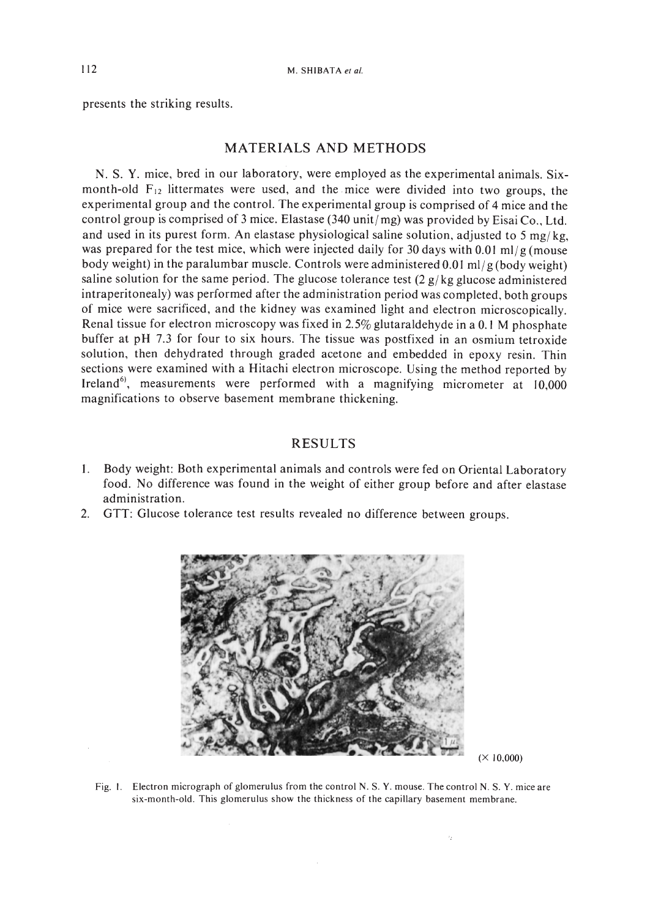presents the striking results.

# MATERIALS AND METHODS

N. S. Y. mice, bred in our laboratory, were employed as the experimental animals. Sixmonth-old  $F_{12}$  littermates were used, and the mice were divided into two groups, the experimental group and the control. The experimental group is comprised of 4 mice and the control group is comprised of 3 mice. Elastase  $(340 \text{ unit/mg})$  was provided by Eisai Co., Ltd. and used in its purest form. An elastase physiological saline solution, adjusted to 5 mg/kg, was prepared for the test mice, which were injected daily for 30 days with 0.01 ml/g (mouse body weight) in the paralumbar muscle. Controls were administered 0.0 I *mil* g (body weight) saline solution for the same period. The glucose tolerance test  $(2 g/kg)$  glucose administered intraperitonealy) was performed after the administration period was completed, both groups of mice were sacrificed, and the kidney was examined light and electron microscopically. Renal tissue for electron microscopy was fixed in 2.5% glutaraldehyde in a 0.1 M phosphate buffer at pH 7.3 for four to six hours. The tissue was postfixed in an osmium tetroxide solution, then dehydrated through graded acetone and embedded in epoxy resin. Thin sections were examined with a Hitachi electron microscope. Using the method reported by Ireland<sup>6</sup>, measurements were performed with a magnifying micrometer at 10,000 magnifications to observe basement membrane thickening.

#### RESULTS

- 1. Body weight: Both experimental animals and controls were fed on Oriental Laboratory food. No difference was found in the weight of either group before and after elastase administration.
- 2. GTT: Glucose tolerance test results revealed no difference between groups.



 $(X 10,000)$ 

Fig. I. Electron micrograph of glomerulus from the control N. S. Y. mouse. The control N. S. Y. mice are six-month-old. This glomerulus show the thickness of the capillary basement membrane.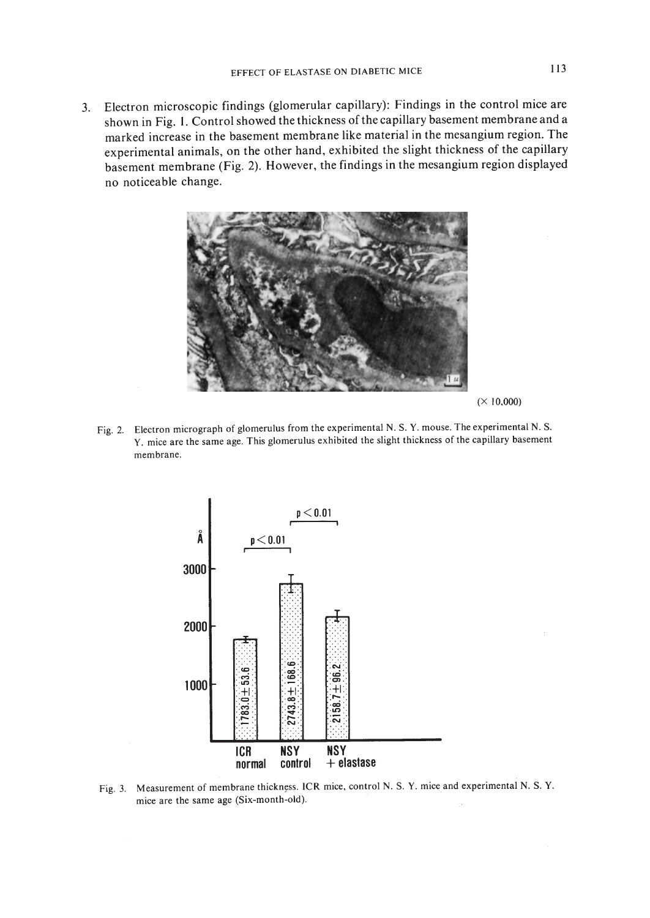3. Electron microscopic findings (glomerular capillary): Findings in the control mice are shown in Fig. 1. Control showed the thickness of the capillary basement membrane and a marked increase in the basement membrane like material in the mesangium region. The experimental animals, on the other hand, exhibited the slight thickness of the capillary basement membrane (Fig. 2). However, the findings in the mesangium region displayed no noticeable change.



 $(X 10,000)$ 

Fig. 2. Electron micrograph of glomerulus from the experimental N. S. Y. mouse. The experimental N. S. Y. mice are the same age. This glomerulus exhibited the slight thickness of the capillary basement membrane.



Fig. 3. Measurement of membrane thickness. ICR mice, control N. S. Y. mice and experimental N. S. Y. mice are the same age (Six-month-old).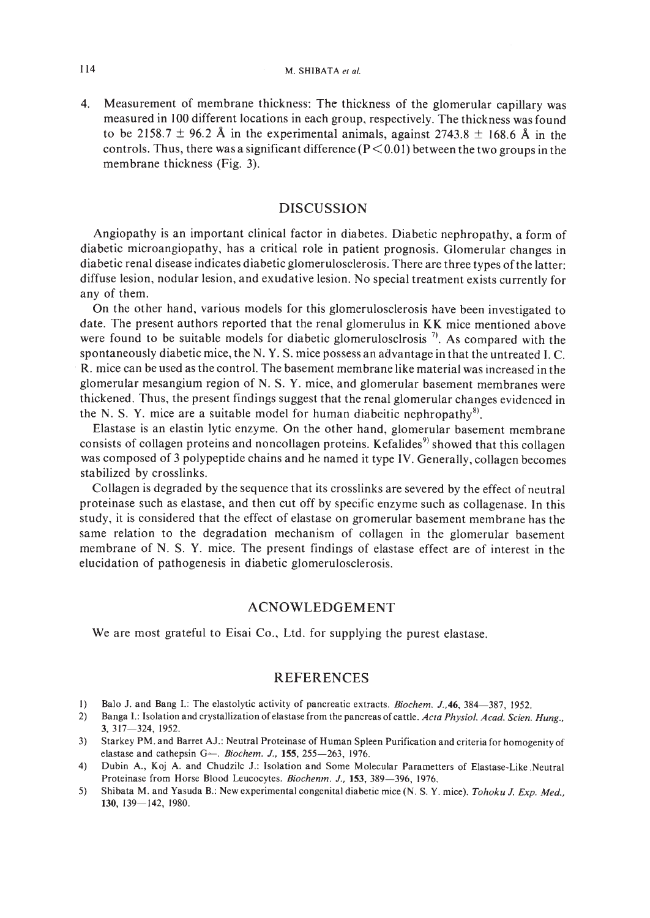4. Measurement of membrane thickness: The thickness of the glomerular capillary was measured in 100 different locations in each group, respectively. The thickness was found to be 2158.7  $\pm$  96.2 Å in the experimental animals, against 2743.8  $\pm$  168.6 Å in the controls. Thus, there was a significant difference  $(P<0.01)$  between the two groups in the membrane thickness (Fig. 3).

#### DISCUSSION

Angiopathy is an important clinical factor in diabetes. Diabetic nephropathy, a form of diabetic microangiopathy, has a critical role in patient prognosis. Glomerular changes in diabetic renal disease indicates diabetic glomerulosclerosis. There are three types ofthe latter: diffuse lesion, nodular lesion, and exudative lesion. No special treatment exists currently for any of them.

On the other hand, various models for this glomerulosclerosis have been investigated to date. The present authors reported that the renal glomerulus in KK mice mentioned above were found to be suitable models for diabetic glomerulosclrosis  $\eta$ . As compared with the spontaneously diabetic mice, the N. Y. S. mice possess an advantage in that the untreated l. C. . R. mice can be used as the control. The basement membrane like material was increased in the glomerular mesangium region of N. S. Y. mice, and glomerular basement membranes were thickened. Thus, the present findings suggest that the renal glomerular changes evidenced in the N. S. Y. mice are a suitable model for human diabeitic nephropathy<sup>8)</sup>.

Elastase is an elastin lytic enzyme. On the other hand, glomerular basement membrane consists of collagen proteins and noncollagen proteins. Kefalides<sup>9)</sup> showed that this collagen was composed of 3 polypeptide chains and he named it type IV. Generally, collagen becomes stabilized by crosslinks.

Collagen is degraded by the sequence that its crosslinks are severed by the effect of neutral proteinase such as elastase, and then cut off by specific enzyme such as collagenase. In this study, it is considered that the effect of elastase on gromerular basement membrane has the same relation to the degradation mechanism of collagen in the glomerular basement membrane of N. S. Y. mice. The present findings of elastase effect are of interest in the elucidation of pathogenesis in diabetic glomerulosclerosis.

#### ACNOWLEDGEMENT

We are most grateful to Eisai Co., Ltd. for supplying the purest elastase.

## REFERENCES

- I) Balo J. and Bang I.: The elastolytic activity of pancreatic extracts. *Biochem.* J.*.46,* 384-387, 1952.
- 2) Banga I.: Isolation and crystallization of elastase from the pancreas of cattle. *Acta Physiol. Acad. Scien. Hung.,* 3,317-324, 1952.
- 3) Starkey PM. and Barret AJ.: Neutral Proteinase of Human Spleen Purification and criteria for homogenity of elastase and cathepsin G- *Biochem. J.*, 155, 255-263, 1976.
- 4) Dubin A., Koj A. and Chudzilc J.: Isolation and Some Molecular Parametters of Elastase-Like .Neutral Proteinase from Horse Blood Leucocytes. *Biochenm. J.*, 153, 389-396, 1976.
- 5) Shibata M. and Yasuda B.: New experimental congenital diabetic mice (N. S. Y. mice). *Tohoku* J. *Exp. Med.,* 130, 139-142, 1980.